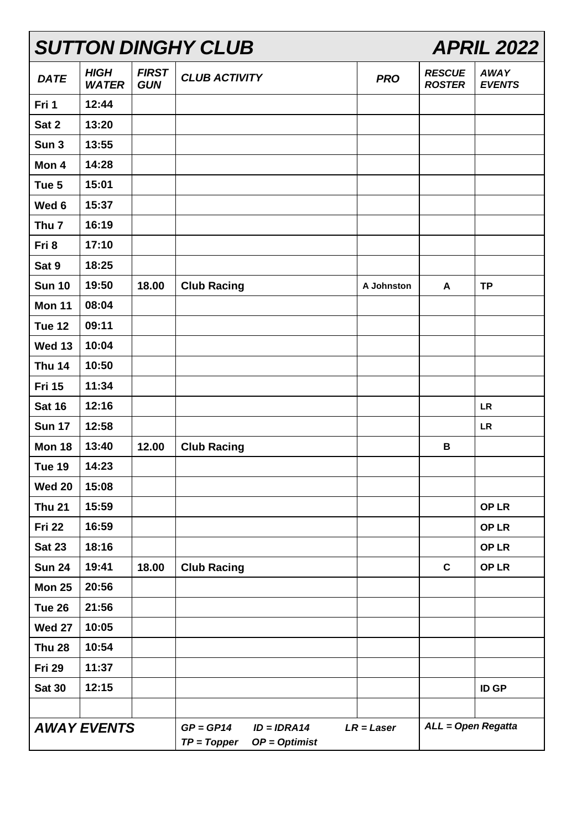| <b>SUTTON DINGHY CLUB</b> |                             |                            |                                                                  |              | <b>APRIL 2022</b>              |                              |  |
|---------------------------|-----------------------------|----------------------------|------------------------------------------------------------------|--------------|--------------------------------|------------------------------|--|
| <b>DATE</b>               | <b>HIGH</b><br><b>WATER</b> | <b>FIRST</b><br><b>GUN</b> | <b>CLUB ACTIVITY</b>                                             | <b>PRO</b>   | <b>RESCUE</b><br><b>ROSTER</b> | <b>AWAY</b><br><b>EVENTS</b> |  |
| Fri 1                     | 12:44                       |                            |                                                                  |              |                                |                              |  |
| Sat 2                     | 13:20                       |                            |                                                                  |              |                                |                              |  |
| Sun <sub>3</sub>          | 13:55                       |                            |                                                                  |              |                                |                              |  |
| Mon 4                     | 14:28                       |                            |                                                                  |              |                                |                              |  |
| Tue 5                     | 15:01                       |                            |                                                                  |              |                                |                              |  |
| Wed 6                     | 15:37                       |                            |                                                                  |              |                                |                              |  |
| Thu <sub>7</sub>          | 16:19                       |                            |                                                                  |              |                                |                              |  |
| Fri 8                     | 17:10                       |                            |                                                                  |              |                                |                              |  |
| Sat 9                     | 18:25                       |                            |                                                                  |              |                                |                              |  |
| <b>Sun 10</b>             | 19:50                       | 18.00                      | <b>Club Racing</b>                                               | A Johnston   | A                              | <b>TP</b>                    |  |
| <b>Mon 11</b>             | 08:04                       |                            |                                                                  |              |                                |                              |  |
| <b>Tue 12</b>             | 09:11                       |                            |                                                                  |              |                                |                              |  |
| <b>Wed 13</b>             | 10:04                       |                            |                                                                  |              |                                |                              |  |
| <b>Thu 14</b>             | 10:50                       |                            |                                                                  |              |                                |                              |  |
| <b>Fri 15</b>             | 11:34                       |                            |                                                                  |              |                                |                              |  |
| <b>Sat 16</b>             | 12:16                       |                            |                                                                  |              |                                | <b>LR</b>                    |  |
| <b>Sun 17</b>             | 12:58                       |                            |                                                                  |              |                                | <b>LR</b>                    |  |
| <b>Mon 18</b>             | 13:40                       | 12.00                      | <b>Club Racing</b>                                               |              | В                              |                              |  |
| Tue 19                    | 14:23                       |                            |                                                                  |              |                                |                              |  |
| <b>Wed 20</b>             | 15:08                       |                            |                                                                  |              |                                |                              |  |
| <b>Thu 21</b>             | 15:59                       |                            |                                                                  |              |                                | <b>OPLR</b>                  |  |
| <b>Fri 22</b>             | 16:59                       |                            |                                                                  |              |                                | OP LR                        |  |
| <b>Sat 23</b>             | 18:16                       |                            |                                                                  |              |                                | <b>OPLR</b>                  |  |
| <b>Sun 24</b>             | 19:41                       | 18.00                      | <b>Club Racing</b>                                               |              | $\mathbf c$                    | OP LR                        |  |
| <b>Mon 25</b>             | 20:56                       |                            |                                                                  |              |                                |                              |  |
| Tue 26                    | 21:56                       |                            |                                                                  |              |                                |                              |  |
| <b>Wed 27</b>             | 10:05                       |                            |                                                                  |              |                                |                              |  |
| <b>Thu 28</b>             | 10:54                       |                            |                                                                  |              |                                |                              |  |
| <b>Fri 29</b>             | 11:37                       |                            |                                                                  |              |                                |                              |  |
| <b>Sat 30</b>             | 12:15                       |                            |                                                                  |              |                                | <b>ID GP</b>                 |  |
|                           |                             |                            |                                                                  |              |                                |                              |  |
| <b>AWAY EVENTS</b>        |                             |                            | $GP = GP14$<br>$ID = IDRA14$<br>$OP = Optimist$<br>$TP = Topper$ | $LR = Laser$ | <b>ALL = Open Regatta</b>      |                              |  |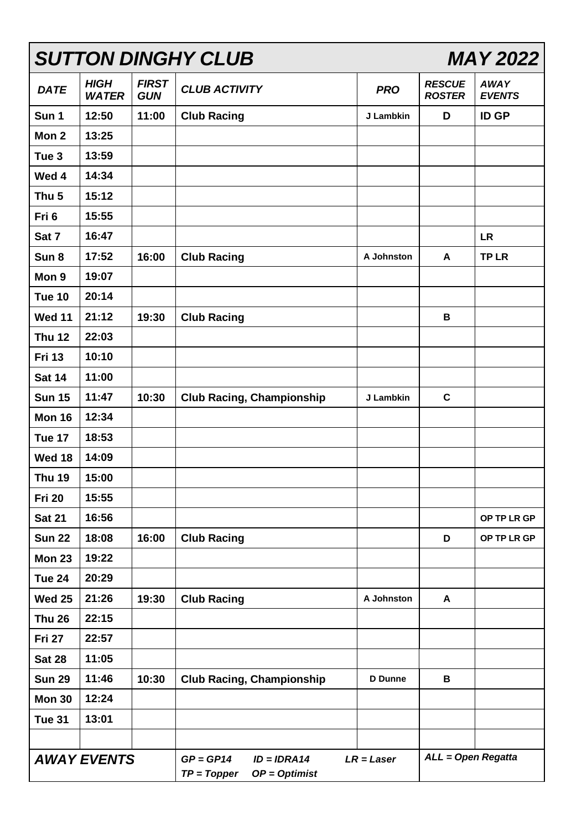| <b>SUTTON DINGHY CLUB</b><br><b>MAY 2022</b> |                             |                            |                                                                                  |                |                                |                              |
|----------------------------------------------|-----------------------------|----------------------------|----------------------------------------------------------------------------------|----------------|--------------------------------|------------------------------|
| <b>DATE</b>                                  | <b>HIGH</b><br><b>WATER</b> | <b>FIRST</b><br><b>GUN</b> | <b>CLUB ACTIVITY</b>                                                             | <b>PRO</b>     | <b>RESCUE</b><br><b>ROSTER</b> | <b>AWAY</b><br><b>EVENTS</b> |
| Sun 1                                        | 12:50                       | 11:00                      | <b>Club Racing</b>                                                               | J Lambkin      | D                              | <b>ID GP</b>                 |
| Mon 2                                        | 13:25                       |                            |                                                                                  |                |                                |                              |
| Tue <sub>3</sub>                             | 13:59                       |                            |                                                                                  |                |                                |                              |
| Wed 4                                        | 14:34                       |                            |                                                                                  |                |                                |                              |
| Thu <sub>5</sub>                             | 15:12                       |                            |                                                                                  |                |                                |                              |
| Fri 6                                        | 15:55                       |                            |                                                                                  |                |                                |                              |
| Sat 7                                        | 16:47                       |                            |                                                                                  |                |                                | <b>LR</b>                    |
| Sun 8                                        | 17:52                       | 16:00                      | <b>Club Racing</b>                                                               | A Johnston     | A                              | <b>TPLR</b>                  |
| Mon 9                                        | 19:07                       |                            |                                                                                  |                |                                |                              |
| <b>Tue 10</b>                                | 20:14                       |                            |                                                                                  |                |                                |                              |
| <b>Wed 11</b>                                | 21:12                       | 19:30                      | <b>Club Racing</b>                                                               |                | В                              |                              |
| <b>Thu 12</b>                                | 22:03                       |                            |                                                                                  |                |                                |                              |
| <b>Fri 13</b>                                | 10:10                       |                            |                                                                                  |                |                                |                              |
| <b>Sat 14</b>                                | 11:00                       |                            |                                                                                  |                |                                |                              |
| <b>Sun 15</b>                                | 11:47                       | 10:30                      | <b>Club Racing, Championship</b>                                                 | J Lambkin      | $\mathbf c$                    |                              |
| <b>Mon 16</b>                                | 12:34                       |                            |                                                                                  |                |                                |                              |
| Tue 17                                       | 18:53                       |                            |                                                                                  |                |                                |                              |
| Wed 18                                       | 14:09                       |                            |                                                                                  |                |                                |                              |
| <b>Thu 19</b>                                | 15:00                       |                            |                                                                                  |                |                                |                              |
| <b>Fri 20</b>                                | 15:55                       |                            |                                                                                  |                |                                |                              |
| <b>Sat 21</b>                                | 16:56                       |                            |                                                                                  |                |                                | OP TP LR GP                  |
| <b>Sun 22</b>                                | 18:08                       | 16:00                      | <b>Club Racing</b>                                                               |                | D                              | OP TP LR GP                  |
| Mon 23                                       | 19:22                       |                            |                                                                                  |                |                                |                              |
| Tue 24                                       | 20:29                       |                            |                                                                                  |                |                                |                              |
| <b>Wed 25</b>                                | 21:26                       | 19:30                      | <b>Club Racing</b>                                                               | A Johnston     | A                              |                              |
| <b>Thu 26</b>                                | 22:15                       |                            |                                                                                  |                |                                |                              |
| <b>Fri 27</b>                                | 22:57                       |                            |                                                                                  |                |                                |                              |
| <b>Sat 28</b>                                | 11:05                       |                            |                                                                                  |                |                                |                              |
| <b>Sun 29</b>                                | 11:46                       | 10:30                      | <b>Club Racing, Championship</b>                                                 | <b>D</b> Dunne | В                              |                              |
| Mon 30                                       | 12:24                       |                            |                                                                                  |                |                                |                              |
| Tue 31                                       | 13:01                       |                            |                                                                                  |                |                                |                              |
|                                              |                             |                            |                                                                                  |                |                                |                              |
| <b>AWAY EVENTS</b>                           |                             |                            | $GP = GP14$<br>$ID = IDRA14$<br>$LR = Laser$<br>$TP = Topper$<br>$OP = Optimist$ |                | <b>ALL = Open Regatta</b>      |                              |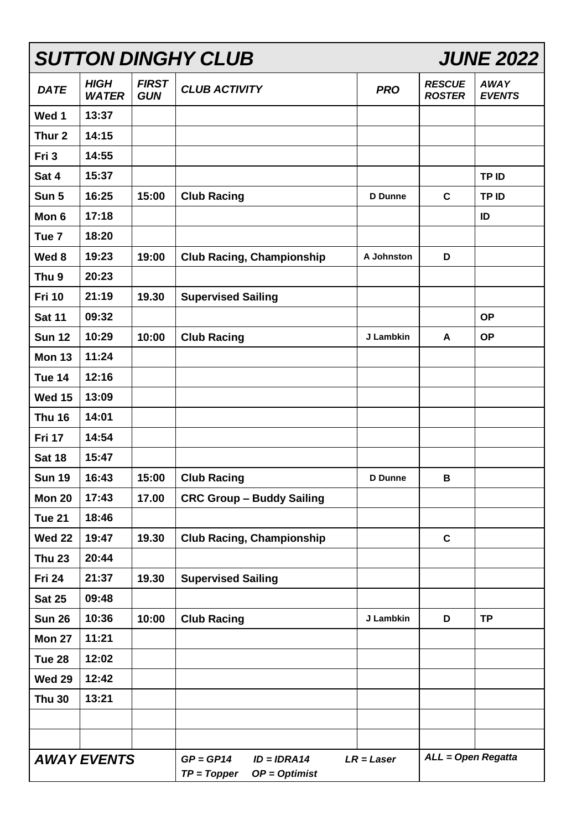| <b>SUTTON DINGHY CLUB</b> |                             |                            |                                                                  |                | <b>JUNE 2022</b>               |                              |  |
|---------------------------|-----------------------------|----------------------------|------------------------------------------------------------------|----------------|--------------------------------|------------------------------|--|
| <b>DATE</b>               | <b>HIGH</b><br><b>WATER</b> | <b>FIRST</b><br><b>GUN</b> | <b>CLUB ACTIVITY</b>                                             | <b>PRO</b>     | <b>RESCUE</b><br><b>ROSTER</b> | <b>AWAY</b><br><b>EVENTS</b> |  |
| Wed 1                     | 13:37                       |                            |                                                                  |                |                                |                              |  |
| Thur <sub>2</sub>         | 14:15                       |                            |                                                                  |                |                                |                              |  |
| Fri 3                     | 14:55                       |                            |                                                                  |                |                                |                              |  |
| Sat 4                     | 15:37                       |                            |                                                                  |                |                                | TP ID                        |  |
| Sun 5                     | 16:25                       | 15:00                      | <b>Club Racing</b>                                               | <b>D</b> Dunne | $\mathbf c$                    | TP ID                        |  |
| Mon 6                     | 17:18                       |                            |                                                                  |                |                                | ID                           |  |
| Tue <sub>7</sub>          | 18:20                       |                            |                                                                  |                |                                |                              |  |
| Wed 8                     | 19:23                       | 19:00                      | <b>Club Racing, Championship</b>                                 | A Johnston     | D                              |                              |  |
| Thu <sub>9</sub>          | 20:23                       |                            |                                                                  |                |                                |                              |  |
| <b>Fri 10</b>             | 21:19                       | 19.30                      | <b>Supervised Sailing</b>                                        |                |                                |                              |  |
| <b>Sat 11</b>             | 09:32                       |                            |                                                                  |                |                                | <b>OP</b>                    |  |
| <b>Sun 12</b>             | 10:29                       | 10:00                      | <b>Club Racing</b>                                               | J Lambkin      | A                              | <b>OP</b>                    |  |
| <b>Mon 13</b>             | 11:24                       |                            |                                                                  |                |                                |                              |  |
| Tue 14                    | 12:16                       |                            |                                                                  |                |                                |                              |  |
| <b>Wed 15</b>             | 13:09                       |                            |                                                                  |                |                                |                              |  |
| <b>Thu 16</b>             | 14:01                       |                            |                                                                  |                |                                |                              |  |
| <b>Fri 17</b>             | 14:54                       |                            |                                                                  |                |                                |                              |  |
| <b>Sat 18</b>             | 15:47                       |                            |                                                                  |                |                                |                              |  |
| <b>Sun 19</b>             | 16:43                       | 15:00                      | <b>Club Racing</b>                                               | <b>D</b> Dunne | B                              |                              |  |
| <b>Mon 20</b>             | 17:43                       | 17.00                      | <b>CRC Group - Buddy Sailing</b>                                 |                |                                |                              |  |
| <b>Tue 21</b>             | 18:46                       |                            |                                                                  |                |                                |                              |  |
| <b>Wed 22</b>             | 19:47                       | 19.30                      | <b>Club Racing, Championship</b>                                 |                | $\mathbf c$                    |                              |  |
| <b>Thu 23</b>             | 20:44                       |                            |                                                                  |                |                                |                              |  |
| <b>Fri 24</b>             | 21:37                       | 19.30                      | <b>Supervised Sailing</b>                                        |                |                                |                              |  |
| <b>Sat 25</b>             | 09:48                       |                            |                                                                  |                |                                |                              |  |
| <b>Sun 26</b>             | 10:36                       | 10:00                      | <b>Club Racing</b>                                               | J Lambkin      | D                              | <b>TP</b>                    |  |
| <b>Mon 27</b>             | 11:21                       |                            |                                                                  |                |                                |                              |  |
| Tue 28                    | 12:02                       |                            |                                                                  |                |                                |                              |  |
| <b>Wed 29</b>             | 12:42                       |                            |                                                                  |                |                                |                              |  |
| <b>Thu 30</b>             | 13:21                       |                            |                                                                  |                |                                |                              |  |
|                           |                             |                            |                                                                  |                |                                |                              |  |
|                           |                             |                            |                                                                  |                |                                |                              |  |
| <b>AWAY EVENTS</b>        |                             |                            | $GP = GP14$<br>$ID = IDRA14$<br>$OP = Optimist$<br>$TP = Topper$ | $LR = Laser$   |                                | ALL = Open Regatta           |  |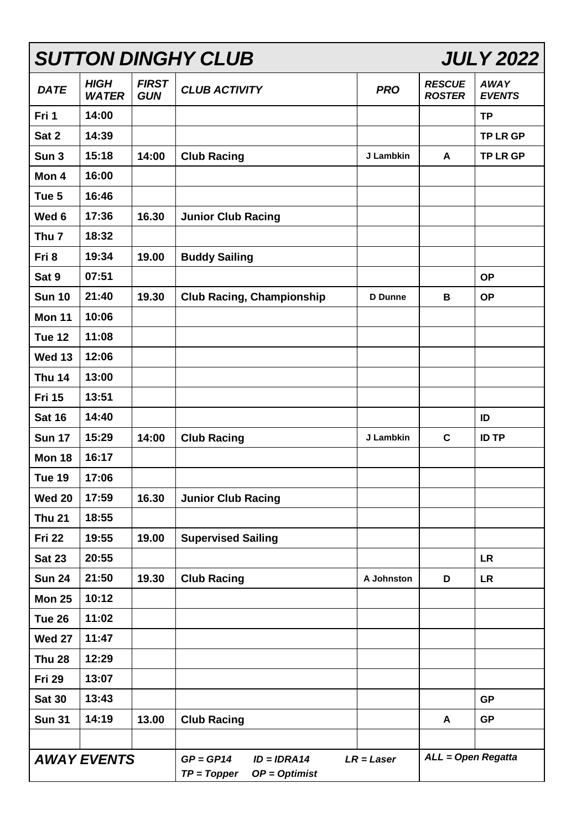| <b>SUTTON DINGHY CLUB</b> |                             |                            |                                                                  |                |                                | <b>JULY 2022</b>             |
|---------------------------|-----------------------------|----------------------------|------------------------------------------------------------------|----------------|--------------------------------|------------------------------|
| <b>DATE</b>               | <b>HIGH</b><br><b>WATER</b> | <b>FIRST</b><br><b>GUN</b> | <b>CLUB ACTIVITY</b>                                             | <b>PRO</b>     | <b>RESCUE</b><br><b>ROSTER</b> | <b>AWAY</b><br><b>EVENTS</b> |
| Fri 1                     | 14:00                       |                            |                                                                  |                |                                | <b>TP</b>                    |
| Sat 2                     | 14:39                       |                            |                                                                  |                |                                | <b>TP LR GP</b>              |
| Sun <sub>3</sub>          | 15:18                       | 14:00                      | <b>Club Racing</b>                                               | J Lambkin      | A                              | <b>TP LR GP</b>              |
| Mon 4                     | 16:00                       |                            |                                                                  |                |                                |                              |
| Tue 5                     | 16:46                       |                            |                                                                  |                |                                |                              |
| Wed 6                     | 17:36                       | 16.30                      | <b>Junior Club Racing</b>                                        |                |                                |                              |
| Thu <sub>7</sub>          | 18:32                       |                            |                                                                  |                |                                |                              |
| Fri 8                     | 19:34                       | 19.00                      | <b>Buddy Sailing</b>                                             |                |                                |                              |
| Sat 9                     | 07:51                       |                            |                                                                  |                |                                | <b>OP</b>                    |
| <b>Sun 10</b>             | 21:40                       | 19.30                      | <b>Club Racing, Championship</b>                                 | <b>D</b> Dunne | B                              | <b>OP</b>                    |
| <b>Mon 11</b>             | 10:06                       |                            |                                                                  |                |                                |                              |
| Tue 12                    | 11:08                       |                            |                                                                  |                |                                |                              |
| <b>Wed 13</b>             | 12:06                       |                            |                                                                  |                |                                |                              |
| <b>Thu 14</b>             | 13:00                       |                            |                                                                  |                |                                |                              |
| <b>Fri 15</b>             | 13:51                       |                            |                                                                  |                |                                |                              |
| <b>Sat 16</b>             | 14:40                       |                            |                                                                  |                |                                | ID                           |
| <b>Sun 17</b>             | 15:29                       | 14:00                      | <b>Club Racing</b>                                               | J Lambkin      | $\mathbf c$                    | <b>ID TP</b>                 |
| <b>Mon 18</b>             | 16:17                       |                            |                                                                  |                |                                |                              |
| Tue 19                    | 17:06                       |                            |                                                                  |                |                                |                              |
| <b>Wed 20</b>             | 17:59                       | 16.30                      | <b>Junior Club Racing</b>                                        |                |                                |                              |
| <b>Thu 21</b>             | 18:55                       |                            |                                                                  |                |                                |                              |
| <b>Fri 22</b>             | 19:55                       | 19.00                      | <b>Supervised Sailing</b>                                        |                |                                |                              |
| <b>Sat 23</b>             | 20:55                       |                            |                                                                  |                |                                | <b>LR</b>                    |
| <b>Sun 24</b>             | 21:50                       | 19.30                      | <b>Club Racing</b>                                               | A Johnston     | D                              | <b>LR</b>                    |
| <b>Mon 25</b>             | 10:12                       |                            |                                                                  |                |                                |                              |
| Tue 26                    | 11:02                       |                            |                                                                  |                |                                |                              |
| <b>Wed 27</b>             | 11:47                       |                            |                                                                  |                |                                |                              |
| <b>Thu 28</b>             | 12:29                       |                            |                                                                  |                |                                |                              |
| <b>Fri 29</b>             | 13:07                       |                            |                                                                  |                |                                |                              |
| <b>Sat 30</b>             | 13:43                       |                            |                                                                  |                |                                | <b>GP</b>                    |
| <b>Sun 31</b>             | 14:19                       | 13.00                      | <b>Club Racing</b>                                               |                | A                              | <b>GP</b>                    |
|                           |                             |                            |                                                                  |                |                                |                              |
| <b>AWAY EVENTS</b>        |                             |                            | $GP = GP14$<br>$ID = IDRA14$<br>$TP = Topper$<br>$OP = Optimist$ | $LR = Laser$   | ALL = Open Regatta             |                              |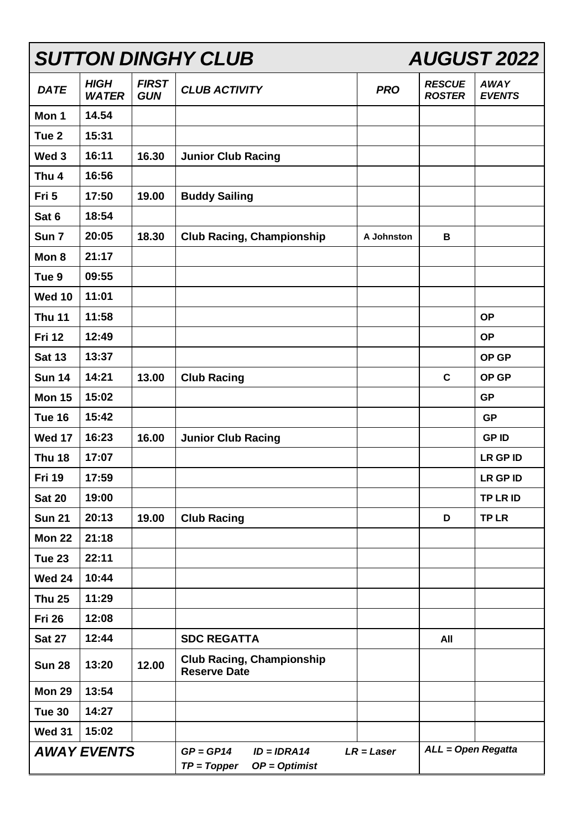|                    | <b>SUTTON DINGHY CLUB</b>   |                            |                                                                                  |            | <b>AUGUST 2022</b>             |                              |  |
|--------------------|-----------------------------|----------------------------|----------------------------------------------------------------------------------|------------|--------------------------------|------------------------------|--|
| <b>DATE</b>        | <b>HIGH</b><br><b>WATER</b> | <b>FIRST</b><br><b>GUN</b> | <b>CLUB ACTIVITY</b>                                                             | <b>PRO</b> | <b>RESCUE</b><br><b>ROSTER</b> | <b>AWAY</b><br><b>EVENTS</b> |  |
| Mon 1              | 14.54                       |                            |                                                                                  |            |                                |                              |  |
| Tue <sub>2</sub>   | 15:31                       |                            |                                                                                  |            |                                |                              |  |
| Wed <sub>3</sub>   | 16:11                       | 16.30                      | <b>Junior Club Racing</b>                                                        |            |                                |                              |  |
| Thu <sub>4</sub>   | 16:56                       |                            |                                                                                  |            |                                |                              |  |
| Fri 5              | 17:50                       | 19.00                      | <b>Buddy Sailing</b>                                                             |            |                                |                              |  |
| Sat 6              | 18:54                       |                            |                                                                                  |            |                                |                              |  |
| Sun 7              | 20:05                       | 18.30                      | <b>Club Racing, Championship</b>                                                 | A Johnston | B                              |                              |  |
| Mon 8              | 21:17                       |                            |                                                                                  |            |                                |                              |  |
| Tue <sub>9</sub>   | 09:55                       |                            |                                                                                  |            |                                |                              |  |
| <b>Wed 10</b>      | 11:01                       |                            |                                                                                  |            |                                |                              |  |
| <b>Thu 11</b>      | 11:58                       |                            |                                                                                  |            |                                | <b>OP</b>                    |  |
| <b>Fri 12</b>      | 12:49                       |                            |                                                                                  |            |                                | <b>OP</b>                    |  |
| <b>Sat 13</b>      | 13:37                       |                            |                                                                                  |            |                                | OP GP                        |  |
| <b>Sun 14</b>      | 14:21                       | 13.00                      | <b>Club Racing</b>                                                               |            | $\mathbf C$                    | OP GP                        |  |
| <b>Mon 15</b>      | 15:02                       |                            |                                                                                  |            |                                | <b>GP</b>                    |  |
| Tue 16             | 15:42                       |                            |                                                                                  |            |                                | <b>GP</b>                    |  |
| <b>Wed 17</b>      | 16:23                       | 16.00                      | <b>Junior Club Racing</b>                                                        |            |                                | <b>GPID</b>                  |  |
| <b>Thu 18</b>      | 17:07                       |                            |                                                                                  |            |                                | <b>LR GP ID</b>              |  |
| <b>Fri 19</b>      | 17:59                       |                            |                                                                                  |            |                                | <b>LR GP ID</b>              |  |
| <b>Sat 20</b>      | 19:00                       |                            |                                                                                  |            |                                | TP LR ID                     |  |
| <b>Sun 21</b>      | 20:13                       | 19.00                      | <b>Club Racing</b>                                                               |            | D                              | <b>TPLR</b>                  |  |
| <b>Mon 22</b>      | 21:18                       |                            |                                                                                  |            |                                |                              |  |
| Tue 23             | 22:11                       |                            |                                                                                  |            |                                |                              |  |
| <b>Wed 24</b>      | 10:44                       |                            |                                                                                  |            |                                |                              |  |
| <b>Thu 25</b>      | 11:29                       |                            |                                                                                  |            |                                |                              |  |
| <b>Fri 26</b>      | 12:08                       |                            |                                                                                  |            |                                |                              |  |
| <b>Sat 27</b>      | 12:44                       |                            | <b>SDC REGATTA</b>                                                               |            | All                            |                              |  |
| <b>Sun 28</b>      | 13:20                       | 12.00                      | <b>Club Racing, Championship</b><br><b>Reserve Date</b>                          |            |                                |                              |  |
| <b>Mon 29</b>      | 13:54                       |                            |                                                                                  |            |                                |                              |  |
| <b>Tue 30</b>      | 14:27                       |                            |                                                                                  |            |                                |                              |  |
| <b>Wed 31</b>      | 15:02                       |                            |                                                                                  |            |                                |                              |  |
| <b>AWAY EVENTS</b> |                             |                            | $GP = GP14$<br>$ID = IDRA14$<br>$LR = Laser$<br>$TP = Topper$<br>$OP = Optimist$ |            | ALL = Open Regatta             |                              |  |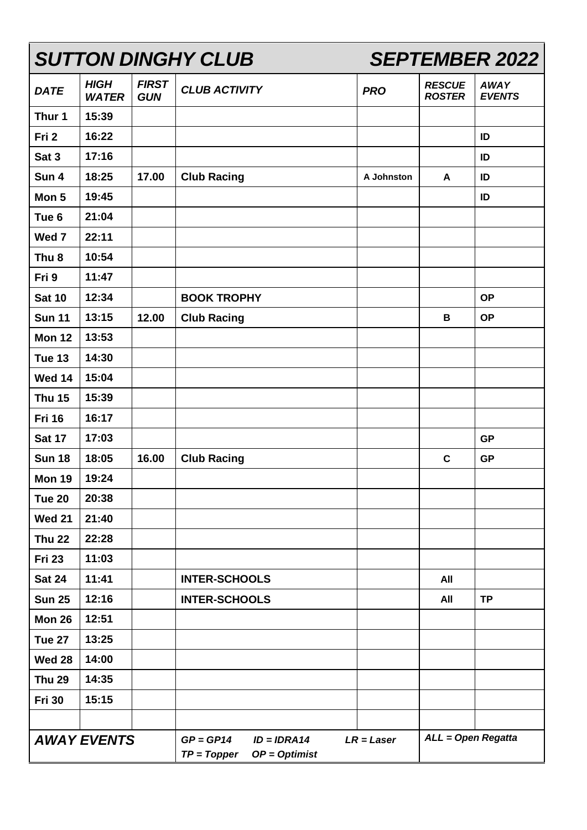| <b>SUTTON DINGHY CLUB</b> |                             |                                                                  |                      |                    | <b>SEPTEMBER 2022</b>          |                              |  |
|---------------------------|-----------------------------|------------------------------------------------------------------|----------------------|--------------------|--------------------------------|------------------------------|--|
| <b>DATE</b>               | <b>HIGH</b><br><b>WATER</b> | <b>FIRST</b><br><b>GUN</b>                                       | <b>CLUB ACTIVITY</b> | <b>PRO</b>         | <b>RESCUE</b><br><b>ROSTER</b> | <b>AWAY</b><br><b>EVENTS</b> |  |
| Thur 1                    | 15:39                       |                                                                  |                      |                    |                                |                              |  |
| Fri 2                     | 16:22                       |                                                                  |                      |                    |                                | ID                           |  |
| Sat 3                     | 17:16                       |                                                                  |                      |                    |                                | ID                           |  |
| Sun 4                     | 18:25                       | 17.00                                                            | <b>Club Racing</b>   | A Johnston         | A                              | ID                           |  |
| Mon 5                     | 19:45                       |                                                                  |                      |                    |                                | ID                           |  |
| Tue <sub>6</sub>          | 21:04                       |                                                                  |                      |                    |                                |                              |  |
| Wed 7                     | 22:11                       |                                                                  |                      |                    |                                |                              |  |
| Thu <sub>8</sub>          | 10:54                       |                                                                  |                      |                    |                                |                              |  |
| Fri 9                     | 11:47                       |                                                                  |                      |                    |                                |                              |  |
| <b>Sat 10</b>             | 12:34                       |                                                                  | <b>BOOK TROPHY</b>   |                    |                                | <b>OP</b>                    |  |
| <b>Sun 11</b>             | 13:15                       | 12.00                                                            | <b>Club Racing</b>   |                    | B                              | <b>OP</b>                    |  |
| <b>Mon 12</b>             | 13:53                       |                                                                  |                      |                    |                                |                              |  |
| <b>Tue 13</b>             | 14:30                       |                                                                  |                      |                    |                                |                              |  |
| <b>Wed 14</b>             | 15:04                       |                                                                  |                      |                    |                                |                              |  |
| <b>Thu 15</b>             | 15:39                       |                                                                  |                      |                    |                                |                              |  |
| <b>Fri 16</b>             | 16:17                       |                                                                  |                      |                    |                                |                              |  |
| <b>Sat 17</b>             | 17:03                       |                                                                  |                      |                    |                                | <b>GP</b>                    |  |
| <b>Sun 18</b>             | 18:05                       | 16.00                                                            | <b>Club Racing</b>   |                    | $\mathbf c$                    | <b>GP</b>                    |  |
| Mon 19                    | 19:24                       |                                                                  |                      |                    |                                |                              |  |
| <b>Tue 20</b>             | 20:38                       |                                                                  |                      |                    |                                |                              |  |
| <b>Wed 21</b>             | 21:40                       |                                                                  |                      |                    |                                |                              |  |
| <b>Thu 22</b>             | 22:28                       |                                                                  |                      |                    |                                |                              |  |
| <b>Fri 23</b>             | 11:03                       |                                                                  |                      |                    |                                |                              |  |
| <b>Sat 24</b>             | 11:41                       |                                                                  | <b>INTER-SCHOOLS</b> |                    | All                            |                              |  |
| <b>Sun 25</b>             | 12:16                       |                                                                  | <b>INTER-SCHOOLS</b> |                    | All                            | <b>TP</b>                    |  |
| Mon 26                    | 12:51                       |                                                                  |                      |                    |                                |                              |  |
| Tue 27                    | 13:25                       |                                                                  |                      |                    |                                |                              |  |
| <b>Wed 28</b>             | 14:00                       |                                                                  |                      |                    |                                |                              |  |
| <b>Thu 29</b>             | 14:35                       |                                                                  |                      |                    |                                |                              |  |
| <b>Fri 30</b>             | 15:15                       |                                                                  |                      |                    |                                |                              |  |
|                           |                             |                                                                  |                      |                    |                                |                              |  |
| <b>AWAY EVENTS</b>        |                             | $GP = GP14$<br>$ID = IDRA14$<br>$TP = Topper$<br>$OP = Optimist$ | $LR = Laser$         | ALL = Open Regatta |                                |                              |  |

 $\blacksquare$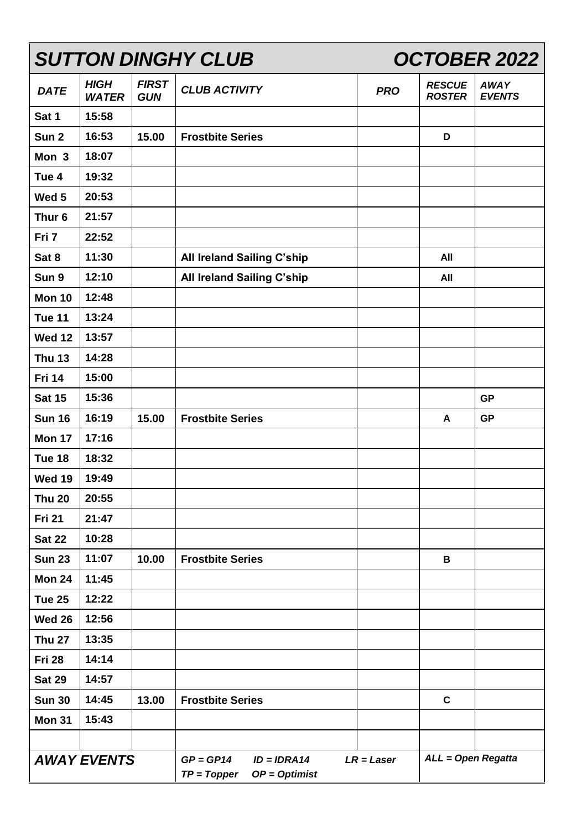| <b>SUTTON DINGHY CLUB</b> |                             |                            | <b>OCTOBER 2022</b>                                              |              |                                |                              |
|---------------------------|-----------------------------|----------------------------|------------------------------------------------------------------|--------------|--------------------------------|------------------------------|
| <b>DATE</b>               | <b>HIGH</b><br><b>WATER</b> | <b>FIRST</b><br><b>GUN</b> | <b>CLUB ACTIVITY</b>                                             | <b>PRO</b>   | <b>RESCUE</b><br><b>ROSTER</b> | <b>AWAY</b><br><b>EVENTS</b> |
| Sat 1                     | 15:58                       |                            |                                                                  |              |                                |                              |
| Sun <sub>2</sub>          | 16:53                       | 15.00                      | <b>Frostbite Series</b>                                          |              | D                              |                              |
| Mon 3                     | 18:07                       |                            |                                                                  |              |                                |                              |
| Tue 4                     | 19:32                       |                            |                                                                  |              |                                |                              |
| Wed 5                     | 20:53                       |                            |                                                                  |              |                                |                              |
| Thur <sub>6</sub>         | 21:57                       |                            |                                                                  |              |                                |                              |
| Fri 7                     | 22:52                       |                            |                                                                  |              |                                |                              |
| Sat 8                     | 11:30                       |                            | <b>All Ireland Sailing C'ship</b>                                |              | All                            |                              |
| Sun 9                     | 12:10                       |                            | All Ireland Sailing C'ship                                       |              | All                            |                              |
| <b>Mon 10</b>             | 12:48                       |                            |                                                                  |              |                                |                              |
| <b>Tue 11</b>             | 13:24                       |                            |                                                                  |              |                                |                              |
| <b>Wed 12</b>             | 13:57                       |                            |                                                                  |              |                                |                              |
| <b>Thu 13</b>             | 14:28                       |                            |                                                                  |              |                                |                              |
| <b>Fri 14</b>             | 15:00                       |                            |                                                                  |              |                                |                              |
| <b>Sat 15</b>             | 15:36                       |                            |                                                                  |              |                                | <b>GP</b>                    |
| <b>Sun 16</b>             | 16:19                       | 15.00                      | <b>Frostbite Series</b>                                          |              | A                              | <b>GP</b>                    |
| <b>Mon 17</b>             | 17:16                       |                            |                                                                  |              |                                |                              |
| Tue 18                    | 18:32                       |                            |                                                                  |              |                                |                              |
| <b>Wed 19</b>             | 19:49                       |                            |                                                                  |              |                                |                              |
| <b>Thu 20</b>             | 20:55                       |                            |                                                                  |              |                                |                              |
| <b>Fri 21</b>             | 21:47                       |                            |                                                                  |              |                                |                              |
| <b>Sat 22</b>             | 10:28                       |                            |                                                                  |              |                                |                              |
| <b>Sun 23</b>             | 11:07                       | 10.00                      | <b>Frostbite Series</b>                                          |              | B                              |                              |
| Mon 24                    | 11:45                       |                            |                                                                  |              |                                |                              |
| <b>Tue 25</b>             | 12:22                       |                            |                                                                  |              |                                |                              |
| <b>Wed 26</b>             | 12:56                       |                            |                                                                  |              |                                |                              |
| <b>Thu 27</b>             | 13:35                       |                            |                                                                  |              |                                |                              |
| Fri 28                    | 14:14                       |                            |                                                                  |              |                                |                              |
| <b>Sat 29</b>             | 14:57                       |                            |                                                                  |              |                                |                              |
| <b>Sun 30</b>             | 14:45                       | 13.00                      | <b>Frostbite Series</b>                                          |              | $\mathbf c$                    |                              |
| <b>Mon 31</b>             | 15:43                       |                            |                                                                  |              |                                |                              |
|                           |                             |                            |                                                                  |              |                                |                              |
| <b>AWAY EVENTS</b>        |                             |                            | $GP = GP14$<br>$ID = IDRA14$<br>$TP = Topper$<br>$OP = Optimist$ | $LR = Laser$ | ALL = Open Regatta             |                              |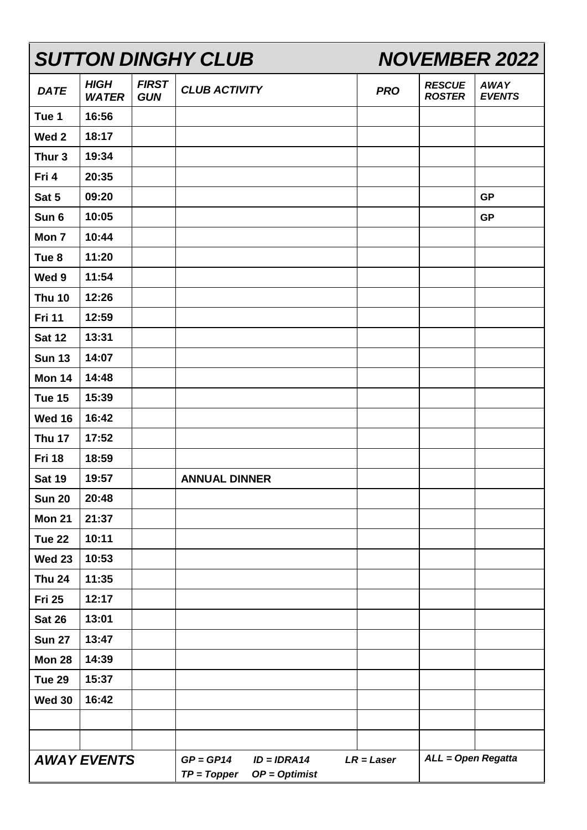| <b>SUTTON DINGHY CLUB</b> |                             |                            | <b>NOVEMBER 2022</b>                                             |              |                                |                              |
|---------------------------|-----------------------------|----------------------------|------------------------------------------------------------------|--------------|--------------------------------|------------------------------|
| <b>DATE</b>               | <b>HIGH</b><br><b>WATER</b> | <b>FIRST</b><br><b>GUN</b> | <b>CLUB ACTIVITY</b>                                             | <b>PRO</b>   | <b>RESCUE</b><br><b>ROSTER</b> | <b>AWAY</b><br><b>EVENTS</b> |
| Tue 1                     | 16:56                       |                            |                                                                  |              |                                |                              |
| Wed <sub>2</sub>          | 18:17                       |                            |                                                                  |              |                                |                              |
| Thur <sub>3</sub>         | 19:34                       |                            |                                                                  |              |                                |                              |
| Fri 4                     | 20:35                       |                            |                                                                  |              |                                |                              |
| Sat 5                     | 09:20                       |                            |                                                                  |              |                                | <b>GP</b>                    |
| Sun 6                     | 10:05                       |                            |                                                                  |              |                                | <b>GP</b>                    |
| Mon 7                     | 10:44                       |                            |                                                                  |              |                                |                              |
| Tue <sub>8</sub>          | 11:20                       |                            |                                                                  |              |                                |                              |
| Wed 9                     | 11:54                       |                            |                                                                  |              |                                |                              |
| <b>Thu 10</b>             | 12:26                       |                            |                                                                  |              |                                |                              |
| <b>Fri 11</b>             | 12:59                       |                            |                                                                  |              |                                |                              |
| <b>Sat 12</b>             | 13:31                       |                            |                                                                  |              |                                |                              |
| <b>Sun 13</b>             | 14:07                       |                            |                                                                  |              |                                |                              |
| <b>Mon 14</b>             | 14:48                       |                            |                                                                  |              |                                |                              |
| Tue 15                    | 15:39                       |                            |                                                                  |              |                                |                              |
| <b>Wed 16</b>             | 16:42                       |                            |                                                                  |              |                                |                              |
| Thu 17                    | 17:52                       |                            |                                                                  |              |                                |                              |
| <b>Fri 18</b>             | 18:59                       |                            |                                                                  |              |                                |                              |
| <b>Sat 19</b>             | 19:57                       |                            | <b>ANNUAL DINNER</b>                                             |              |                                |                              |
| <b>Sun 20</b>             | 20:48                       |                            |                                                                  |              |                                |                              |
| <b>Mon 21</b>             | 21:37                       |                            |                                                                  |              |                                |                              |
| <b>Tue 22</b>             | 10:11                       |                            |                                                                  |              |                                |                              |
| <b>Wed 23</b>             | 10:53                       |                            |                                                                  |              |                                |                              |
| <b>Thu 24</b>             | 11:35                       |                            |                                                                  |              |                                |                              |
| <b>Fri 25</b>             | 12:17                       |                            |                                                                  |              |                                |                              |
| <b>Sat 26</b>             | 13:01                       |                            |                                                                  |              |                                |                              |
| <b>Sun 27</b>             | 13:47                       |                            |                                                                  |              |                                |                              |
| Mon 28                    | 14:39                       |                            |                                                                  |              |                                |                              |
| <b>Tue 29</b>             | 15:37                       |                            |                                                                  |              |                                |                              |
| <b>Wed 30</b>             | 16:42                       |                            |                                                                  |              |                                |                              |
|                           |                             |                            |                                                                  |              |                                |                              |
|                           |                             |                            |                                                                  |              |                                |                              |
| <b>AWAY EVENTS</b>        |                             |                            | $GP = GP14$<br>$ID = IDRA14$<br>$OP = Optimist$<br>$TP = Topper$ | $LR = Laser$ | ALL = Open Regatta             |                              |

 $\blacksquare$